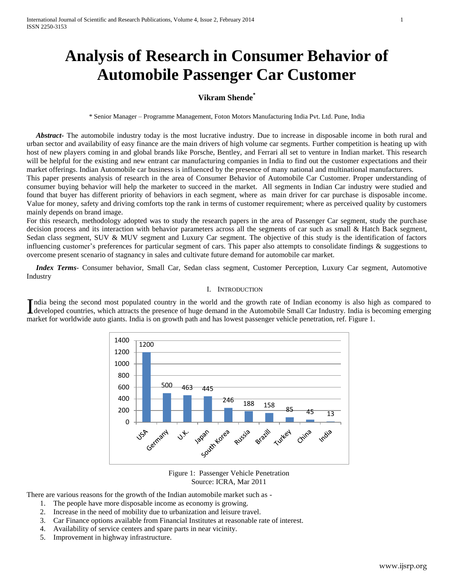# **Analysis of Research in Consumer Behavior of Automobile Passenger Car Customer**

# **Vikram Shende\***

\* Senior Manager – Programme Management, Foton Motors Manufacturing India Pvt. Ltd. Pune, India

 *Abstract***-** The automobile industry today is the most lucrative industry. Due to increase in disposable income in both rural and urban sector and availability of easy finance are the main drivers of high volume car segments. Further competition is heating up with host of new players coming in and global brands like Porsche, Bentley, and Ferrari all set to venture in Indian market. This research will be helpful for the existing and new entrant car manufacturing companies in India to find out the customer expectations and their market offerings. Indian Automobile car business is influenced by the presence of many national and multinational manufacturers. This paper presents analysis of research in the area of Consumer Behavior of Automobile Car Customer. Proper understanding of

consumer buying behavior will help the marketer to succeed in the market. All segments in Indian Car industry were studied and found that buyer has different priority of behaviors in each segment, where as main driver for car purchase is disposable income. Value for money, safety and driving comforts top the rank in terms of customer requirement; where as perceived quality by customers mainly depends on brand image.

For this research, methodology adopted was to study the research papers in the area of Passenger Car segment, study the purchase decision process and its interaction with behavior parameters across all the segments of car such as small & Hatch Back segment, Sedan class segment, SUV & MUV segment and Luxury Car segment. The objective of this study is the identification of factors influencing customer's preferences for particular segment of cars. This paper also attempts to consolidate findings  $\&$  suggestions to overcome present scenario of stagnancy in sales and cultivate future demand for automobile car market.

 *Index Terms*- Consumer behavior, Small Car, Sedan class segment, Customer Perception, Luxury Car segment, Automotive Industry

#### I. INTRODUCTION

ndia being the second most populated country in the world and the growth rate of Indian economy is also high as compared to India being the second most populated country in the world and the growth rate of Indian economy is also high as compared to developed countries, which attracts the presence of huge demand in the Automobile Small Car Indus market for worldwide auto giants. India is on growth path and has lowest passenger vehicle penetration, ref. Figure 1.



Figure 1: Passenger Vehicle Penetration Source: ICRA, Mar 2011

There are various reasons for the growth of the Indian automobile market such as -

- 1. The people have more disposable income as economy is growing.
- 2. Increase in the need of mobility due to urbanization and leisure travel.
- 3. Car Finance options available from Financial Institutes at reasonable rate of interest.
- 4. Availability of service centers and spare parts in near vicinity.
- 5. Improvement in highway infrastructure.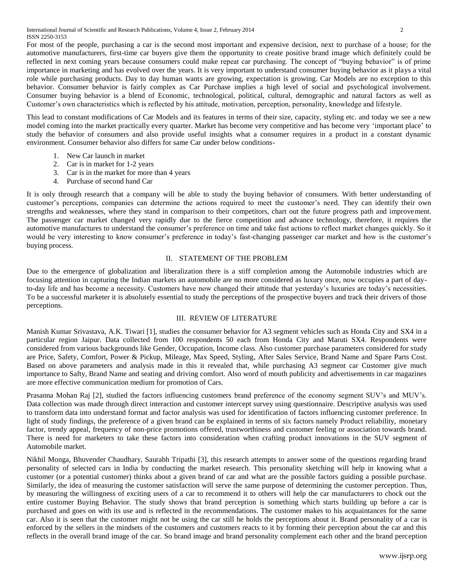For most of the people, purchasing a car is the second most important and expensive decision, next to purchase of a house; for the automotive manufacturers, first-time car buyers give them the opportunity to create positive brand image which definitely could be reflected in next coming years because consumers could make repeat car purchasing. The concept of "buying behavior" is of prime importance in marketing and has evolved over the years. It is very important to understand consumer buying behavior as it plays a vital role while purchasing products. Day to day human wants are growing, expectation is growing. Car Models are no exception to this behavior. Consumer behavior is fairly complex as Car Purchase implies a high level of social and psychological involvement. Consumer buying behavior is a blend of Economic, technological, political, cultural, demographic and natural factors as well as Customer's own characteristics which is reflected by his attitude, motivation, perception, personality, knowledge and lifestyle.

This lead to constant modifications of Car Models and its features in terms of their size, capacity, styling etc. and today we see a new model coming into the market practically every quarter. Market has become very competitive and has become very 'important place' to study the behavior of consumers and also provide useful insights what a consumer requires in a product in a constant dynamic environment. Consumer behavior also differs for same Car under below conditions-

- 1. New Car launch in market
- 2. Car is in market for 1-2 years
- 3. Car is in the market for more than 4 years
- 4. Purchase of second hand Car

It is only through research that a company will be able to study the buying behavior of consumers. With better understanding of customer's perceptions, companies can determine the actions required to meet the customer's need. They can identify their own strengths and weaknesses, where they stand in comparison to their competitors, chart out the future progress path and improvement. The passenger car market changed very rapidly due to the fierce competition and advance technology, therefore, it requires the automotive manufactures to understand the consumer's preference on time and take fast actions to reflect market changes quickly. So it would be very interesting to know consumer's preference in today's fast-changing passenger car market and how is the customer's buying process.

## II. STATEMENT OF THE PROBLEM

Due to the emergence of globalization and liberalization there is a stiff completion among the Automobile industries which are focusing attention in capturing the Indian markets an automobile are no more considered as luxury once, now occupies a part of dayto-day life and has become a necessity. Customers have now changed their attitude that yesterday's luxuries are today's necessities. To be a successful marketer it is absolutely essential to study the perceptions of the prospective buyers and track their drivers of those perceptions.

## III. REVIEW OF LITERATURE

Manish Kumar Srivastava, A.K. Tiwari [1], studies the consumer behavior for A3 segment vehicles such as Honda City and SX4 in a particular region Jaipur. Data collected from 100 respondents 50 each from Honda City and Maruti SX4. Respondents were considered from various backgrounds like Gender, Occupation, Income class. Also customer purchase parameters considered for study are Price, Safety, Comfort, Power & Pickup, Mileage, Max Speed, Styling, After Sales Service, Brand Name and Spare Parts Cost. Based on above parameters and analysis made in this it revealed that, while purchasing A3 segment car Customer give much importance to Safty, Brand Name and seating and driving comfort. Also word of mouth publicity and advertisements in car magazines are more effective communication medium for promotion of Cars.

Prasanna Mohan Raj [2], studied the factors influencing customers brand preference of the economy segment SUV's and MUV's. Data collection was made through direct interaction and customer intercept survey using questionnaire. Descriptive analysis was used to transform data into understand format and factor analysis was used for identification of factors influencing customer preference. In light of study findings, the preference of a given brand can be explained in terms of six factors namely Product reliability, monetary factor, trendy appeal, frequency of non-price promotions offered, trustworthiness and customer feeling or association towards brand. There is need for marketers to take these factors into consideration when crafting product innovations in the SUV segment of Automobile market.

Nikhil Monga, Bhuvender Chaudhary, Saurabh Tripathi [3], this research attempts to answer some of the questions regarding brand personality of selected cars in India by conducting the market research. This personality sketching will help in knowing what a customer (or a potential customer) thinks about a given brand of car and what are the possible factors guiding a possible purchase. Similarly, the idea of measuring the customer satisfaction will serve the same purpose of determining the customer perception. Thus, by measuring the willingness of exciting users of a car to recommend it to others will help the car manufacturers to chock out the entire customer Buying Behavior. The study shows that brand perception is something which starts building up before a car is purchased and goes on with its use and is reflected in the recommendations. The customer makes to his acquaintances for the same car. Also it is seen that the customer might not be using the car still he holds the perceptions about it. Brand personality of a car is enforced by the sellers in the mindsets of the customers and customers reacts to it by forming their perception about the car and this reflects in the overall brand image of the car. So brand image and brand personality complement each other and the brand perception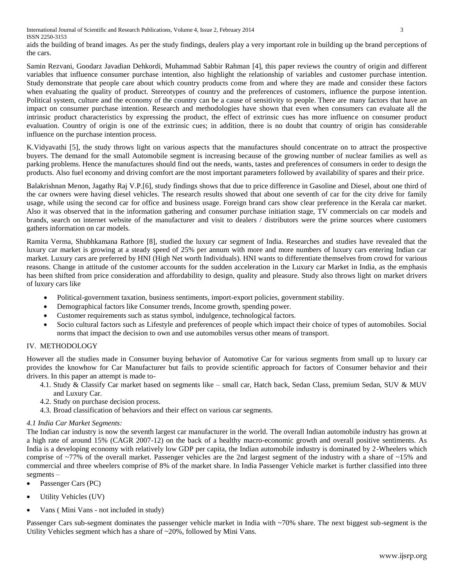International Journal of Scientific and Research Publications, Volume 4, Issue 2, February 2014 3 ISSN 2250-3153

aids the building of brand images. As per the study findings, dealers play a very important role in building up the brand perceptions of the cars.

Samin Rezvani, Goodarz Javadian Dehkordi, Muhammad Sabbir Rahman [4], this paper reviews the country of origin and different variables that influence consumer purchase intention, also highlight the relationship of variables and customer purchase intention. Study demonstrate that people care about which country products come from and where they are made and consider these factors when evaluating the quality of product. Stereotypes of country and the preferences of customers, influence the purpose intention. Political system, culture and the economy of the country can be a cause of sensitivity to people. There are many factors that have an impact on consumer purchase intention. Research and methodologies have shown that even when consumers can evaluate all the intrinsic product characteristics by expressing the product, the effect of extrinsic cues has more influence on consumer product evaluation. Country of origin is one of the extrinsic cues; in addition, there is no doubt that country of origin has considerable influence on the purchase intention process.

K.Vidyavathi [5], the study throws light on various aspects that the manufactures should concentrate on to attract the prospective buyers. The demand for the small Automobile segment is increasing because of the growing number of nuclear families as well as parking problems. Hence the manufactures should find out the needs, wants, tastes and preferences of consumers in order to design the products. Also fuel economy and driving comfort are the most important parameters followed by availability of spares and their price.

Balakrishnan Menon, Jagathy Raj V.P.[6], study findings shows that due to price difference in Gasoline and Diesel, about one third of the car owners were having diesel vehicles. The research results showed that about one seventh of car for the city drive for family usage, while using the second car for office and business usage. Foreign brand cars show clear preference in the Kerala car market. Also it was observed that in the information gathering and consumer purchase initiation stage, TV commercials on car models and brands, search on internet website of the manufacturer and visit to dealers / distributors were the prime sources where customers gathers information on car models.

Ramita Verma, Shubhkamana Rathore [8], studied the luxury car segment of India. Researches and studies have revealed that the luxury car market is growing at a steady speed of 25% per annum with more and more numbers of luxury cars entering Indian car market. Luxury cars are preferred by HNI (High Net worth Individuals). HNI wants to differentiate themselves from crowd for various reasons. Change in attitude of the customer accounts for the sudden acceleration in the Luxury car Market in India, as the emphasis has been shifted from price consideration and affordability to design, quality and pleasure. Study also throws light on market drivers of luxury cars like

- Political-government taxation, business sentiments, import-export policies, government stability.
- Demographical factors like Consumer trends, Income growth, spending power.
- Customer requirements such as status symbol, indulgence, technological factors.
- Socio cultural factors such as Lifestyle and preferences of people which impact their choice of types of automobiles. Social norms that impact the decision to own and use automobiles versus other means of transport.

## IV. METHODOLOGY

However all the studies made in Consumer buying behavior of Automotive Car for various segments from small up to luxury car provides the knowhow for Car Manufacturer but fails to provide scientific approach for factors of Consumer behavior and their drivers. In this paper an attempt is made to-

- 4.1. Study & Classify Car market based on segments like small car, Hatch back, Sedan Class, premium Sedan, SUV & MUV and Luxury Car.
- 4.2. Study on purchase decision process.
- 4.3. Broad classification of behaviors and their effect on various car segments.

## *4.1 India Car Market Segments:*

The Indian car industry is now the seventh largest car manufacturer in the world. The overall Indian automobile industry has grown at a high rate of around 15% (CAGR 2007-12) on the back of a healthy macro-economic growth and overall positive sentiments. As India is a developing economy with relatively low GDP per capita, the Indian automobile industry is dominated by 2-Wheelers which comprise of ~77% of the overall market. Passenger vehicles are the 2nd largest segment of the industry with a share of ~15% and commercial and three wheelers comprise of 8% of the market share. In India Passenger Vehicle market is further classified into three segments –

- Passenger Cars (PC)
- Utility Vehicles (UV)
- Vans ( Mini Vans not included in study)

Passenger Cars sub-segment dominates the passenger vehicle market in India with ~70% share. The next biggest sub-segment is the Utility Vehicles segment which has a share of ~20%, followed by Mini Vans.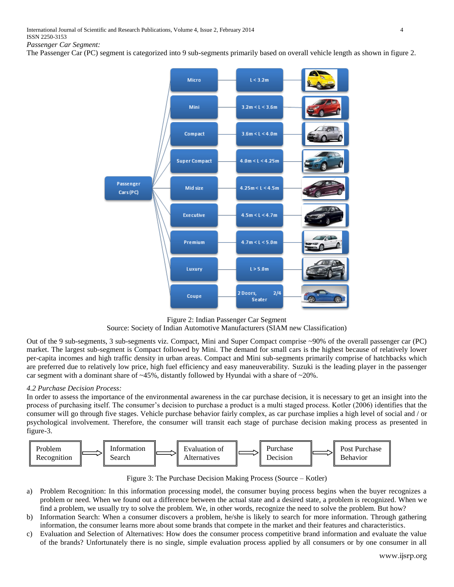The Passenger Car (PC) segment is categorized into 9 sub-segments primarily based on overall vehicle length as shown in figure 2.



Figure 2: Indian Passenger Car Segment

Source: Society of Indian Automotive Manufacturers (SIAM new Classification)

Out of the 9 sub-segments, 3 sub-segments viz. Compact, Mini and Super Compact comprise ~90% of the overall passenger car (PC) market. The largest sub-segment is Compact followed by Mini. The demand for small cars is the highest because of relatively lower per-capita incomes and high traffic density in urban areas. Compact and Mini sub-segments primarily comprise of hatchbacks which are preferred due to relatively low price, high fuel efficiency and easy maneuverability. Suzuki is the leading player in the passenger car segment with a dominant share of  $\sim$  45%, distantly followed by Hyundai with a share of  $\sim$  20%.

## *4.2 Purchase Decision Process:*

In order to assess the importance of the environmental awareness in the car purchase decision, it is necessary to get an insight into the process of purchasing itself. The consumer's decision to purchase a product is a multi staged process. Kotler (2006) identifies that the consumer will go through five stages. Vehicle purchase behavior fairly complex, as car purchase implies a high level of social and / or psychological involvement. Therefore, the consumer will transit each stage of purchase decision making process as presented in figure-3.



Figure 3: The Purchase Decision Making Process (Source – Kotler)

- a) Problem Recognition: In this information processing model, the consumer buying process begins when the buyer recognizes a problem or need. When we found out a difference between the actual state and a desired state, a problem is recognized. When we find a problem, we usually try to solve the problem. We, in other words, recognize the need to solve the problem. But how?
- b) Information Search: When a consumer discovers a problem, he/she is likely to search for more information. Through gathering information, the consumer learns more about some brands that compete in the market and their features and characteristics.
- c) Evaluation and Selection of Alternatives: How does the consumer process competitive brand information and evaluate the value of the brands? Unfortunately there is no single, simple evaluation process applied by all consumers or by one consumer in all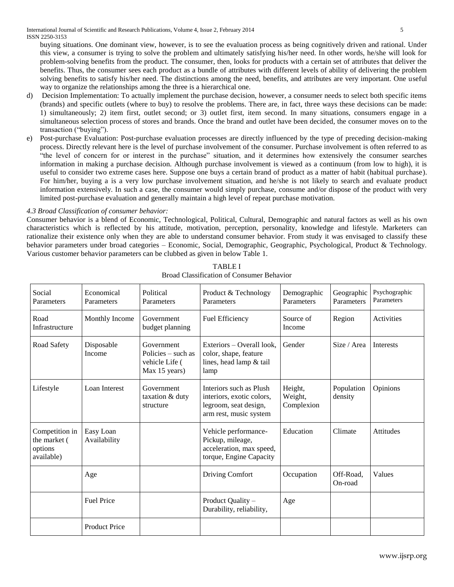buying situations. One dominant view, however, is to see the evaluation process as being cognitively driven and rational. Under this view, a consumer is trying to solve the problem and ultimately satisfying his/her need. In other words, he/she will look for problem-solving benefits from the product. The consumer, then, looks for products with a certain set of attributes that deliver the benefits. Thus, the consumer sees each product as a bundle of attributes with different levels of ability of delivering the problem solving benefits to satisfy his/her need. The distinctions among the need, benefits, and attributes are very important. One useful way to organize the relationships among the three is a hierarchical one.

- d) Decision Implementation: To actually implement the purchase decision, however, a consumer needs to select both specific items (brands) and specific outlets (where to buy) to resolve the problems. There are, in fact, three ways these decisions can be made: 1) simultaneously; 2) item first, outlet second; or 3) outlet first, item second. In many situations, consumers engage in a simultaneous selection process of stores and brands. Once the brand and outlet have been decided, the consumer moves on to the transaction ("buying").
- Post-purchase Evaluation: Post-purchase evaluation processes are directly influenced by the type of preceding decision-making process. Directly relevant here is the level of purchase involvement of the consumer. Purchase involvement is often referred to as "the level of concern for or interest in the purchase" situation, and it determines how extensively the consumer searches information in making a purchase decision. Although purchase involvement is viewed as a continuum (from low to high), it is useful to consider two extreme cases here. Suppose one buys a certain brand of product as a matter of habit (habitual purchase). For him/her, buying a is a very low purchase involvement situation, and he/she is not likely to search and evaluate product information extensively. In such a case, the consumer would simply purchase, consume and/or dispose of the product with very limited post-purchase evaluation and generally maintain a high level of repeat purchase motivation.

# *4.3 Broad Classification of consumer behavior:*

Consumer behavior is a blend of Economic, Technological, Political, Cultural, Demographic and natural factors as well as his own characteristics which is reflected by his attitude, motivation, perception, personality, knowledge and lifestyle. Marketers can rationalize their existence only when they are able to understand consumer behavior. From study it was envisaged to classify these behavior parameters under broad categories – Economic, Social, Demographic, Geographic, Psychological, Product & Technology. Various customer behavior parameters can be clubbed as given in below Table 1.

| Social<br>Parameters                                    | Economical<br>Parameters  | Political<br>Parameters                                             | Product & Technology<br>Parameters                                                                      | Demographic<br>Parameters        | Geographic<br>Parameters | Psychographic<br>Parameters |
|---------------------------------------------------------|---------------------------|---------------------------------------------------------------------|---------------------------------------------------------------------------------------------------------|----------------------------------|--------------------------|-----------------------------|
| Road<br>Infrastructure                                  | Monthly Income            | Government<br>budget planning                                       | Fuel Efficiency                                                                                         | Source of<br>Income              | Region                   | Activities                  |
| Road Safety                                             | Disposable<br>Income      | Government<br>Policies – such as<br>vehicle Life (<br>Max 15 years) | Exteriors – Overall look,<br>color, shape, feature<br>lines, head lamp & tail<br>lamp                   | Gender                           | Size / Area              | <b>Interests</b>            |
| Lifestyle                                               | Loan Interest             | Government<br>taxation & duty<br>structure                          | Interiors such as Plush<br>interiors, exotic colors,<br>legroom, seat design,<br>arm rest, music system | Height,<br>Weight,<br>Complexion | Population<br>density    | Opinions                    |
| Competition in<br>the market (<br>options<br>available) | Easy Loan<br>Availability |                                                                     | Vehicle performance-<br>Pickup, mileage,<br>acceleration, max speed,<br>torque, Engine Capacity         | Education                        | Climate                  | <b>Attitudes</b>            |
|                                                         | Age                       |                                                                     | Driving Comfort                                                                                         | Occupation                       | Off-Road,<br>On-road     | Values                      |
|                                                         | <b>Fuel Price</b>         |                                                                     | Product Quality -<br>Durability, reliability,                                                           | Age                              |                          |                             |
|                                                         | <b>Product Price</b>      |                                                                     |                                                                                                         |                                  |                          |                             |

TABLE I Broad Classification of Consumer Behavior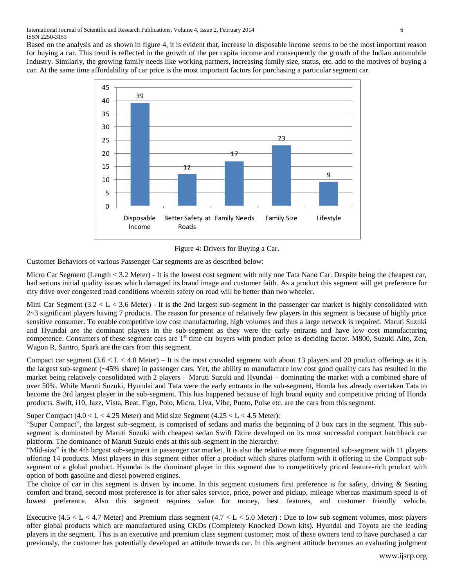Based on the analysis and as shown in figure 4, it is evident that, increase in disposable income seems to be the most important reason for buying a car. This trend is reflected in the growth of the per capita income and consequently the growth of the Indian automobile Industry. Similarly, the growing family needs like working partners, increasing family size, status, etc. add to the motives of buying a





Customer Behaviors of various Passenger Car segments are as described below:

Micro Car Segment (Length < 3.2 Meter) - It is the lowest cost segment with only one Tata Nano Car. Despite being the cheapest car, had serious initial quality issues which damaged its brand image and customer faith. As a product this segment will get preference for city drive over congested road conditions wherein safety on road will be better than two wheeler.

Mini Car Segment  $(3.2 < L < 3.6$  Meter) - It is the 2nd largest sub-segment in the passenger car market is highly consolidated with 2~3 significant players having 7 products. The reason for presence of relatively few players in this segment is because of highly price sensitive consumer. To enable competitive low cost manufacturing, high volumes and thus a large network is required. Maruti Suzuki and Hyundai are the dominant players in the sub-segment as they were the early entrants and have low cost manufacturing competence. Consumers of these segment cars are 1<sup>st</sup> time car buyers with product price as deciding factor. M800, Suzuki Alto, Zen, Wagon R, Santro, Spark are the cars from this segment.

Compact car segment  $(3.6 < L < 4.0$  Meter) – It is the most crowded segment with about 13 players and 20 product offerings as it is the largest sub-segment (~45% share) in passenger cars. Yet, the ability to manufacture low cost good quality cars has resulted in the market being relatively consolidated with 2 players – Maruti Suzuki and Hyundai – dominating the market with a combined share of over 50%. While Maruti Suzuki, Hyundai and Tata were the early entrants in the sub-segment, Honda has already overtaken Tata to become the 3rd largest player in the sub-segment. This has happened because of high brand equity and competitive pricing of Honda products. Swift, i10, Jazz, Vista, Beat, Figo, Polo, Micra, Liva, Vibe, Punto, Pulse etc. are the cars from this segment.

Super Compact  $(4.0 < L < 4.25$  Meter) and Mid size Segment  $(4.25 < L < 4.5$  Meter):

"Super Compact", the largest sub-segment, is comprised of sedans and marks the beginning of 3 box cars in the segment. This subsegment is dominated by Maruti Suzuki with cheapest sedan Swift Dzire developed on its most successful compact hatchback car platform. The dominance of Maruti Suzuki ends at this sub-segment in the hierarchy.

"Mid-size" is the 4th largest sub-segment in passenger car market. It is also the relative more fragmented sub-segment with 11 players offering 14 products. Most players in this segment either offer a product which shares platform with it offering in the Compact subsegment or a global product. Hyundai is the dominant player in this segment due to competitively priced feature-rich product with option of both gasoline and diesel powered engines.

The choice of car in this segment is driven by income. In this segment customers first preference is for safety, driving & Seating comfort and brand, second most preference is for after sales service, price, power and pickup, mileage whereas maximum speed is of lowest preference. Also this segment requires value for money, best features, and customer friendly vehicle.

Executive  $(4.5 < L < 4.7$  Meter) and Premium class segment  $(4.7 < L < 5.0$  Meter) : Due to low sub-segment volumes, most players offer global products which are manufactured using CKDs (Completely Knocked Down kits). Hyundai and Toyota are the leading players in the segment. This is an executive and premium class segment customer; most of these owners tend to have purchased a car previously, the customer has potentially developed an attitude towards car. In this segment attitude becomes an evaluating judgment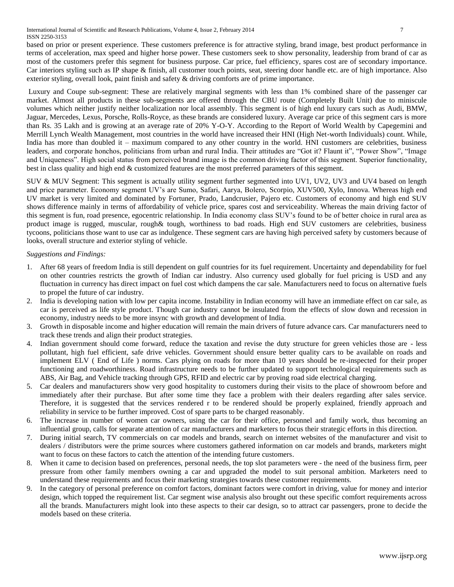International Journal of Scientific and Research Publications, Volume 4, Issue 2, February 2014 7 ISSN 2250-3153

based on prior or present experience. These customers preference is for attractive styling, brand image, best product performance in terms of acceleration, max speed and higher horse power. These customers seek to show personality, leadership from brand of car as most of the customers prefer this segment for business purpose. Car price, fuel efficiency, spares cost are of secondary importance. Car interiors styling such as IP shape & finish, all customer touch points, seat, steering door handle etc. are of high importance. Also exterior styling, overall look, paint finish and safety & driving comforts are of prime importance.

Luxury and Coupe sub-segment: These are relatively marginal segments with less than 1% combined share of the passenger car market. Almost all products in these sub-segments are offered through the CBU route (Completely Built Unit) due to miniscule volumes which neither justify neither localization nor local assembly. This segment is of high end luxury cars such as Audi, BMW, Jaguar, Mercedes, Lexus, Porsche, Rolls-Royce, as these brands are considered luxury. Average car price of this segment cars is more than Rs. 35 Lakh and is growing at an average rate of 20% Y-O-Y. According to the Report of World Wealth by Capegemini and Merrill Lynch Wealth Management, most countries in the world have increased their HNI (High Net-worth Individuals) count. While, India has more than doubled it – maximum compared to any other country in the world. HNI customers are celebrities, business leaders, and corporate honchos, politicians from urban and rural India. Their attitudes are "Got it? Flaunt it", "Power Show", "Image and Uniqueness". High social status from perceived brand image is the common driving factor of this segment. Superior functionality, best in class quality and high end & customized features are the most preferred parameters of this segment.

SUV & MUV Segment: This segment is actually utility segment further segmented into UV1, UV2, UV3 and UV4 based on length and price parameter. Economy segment UV's are Sumo, Safari, Aarya, Bolero, Scorpio, XUV500, Xylo, Innova. Whereas high end UV market is very limited and dominated by Fortuner, Prado, Landcrusier, Pajero etc. Customers of economy and high end SUV shows difference mainly in terms of affordability of vehicle price, spares cost and serviceability. Whereas the main driving factor of this segment is fun, road presence, egocentric relationship. In India economy class SUV's found to be of better choice in rural area as product image is rugged, muscular, rough& tough, worthiness to bad roads. High end SUV customers are celebrities, business tycoons, politicians those want to use car as indulgence. These segment cars are having high perceived safety by customers because of looks, overall structure and exterior styling of vehicle.

*Suggestions and Findings:*

- 1. After 68 years of freedom India is still dependent on gulf countries for its fuel requirement. Uncertainty and dependability for fuel on other countries restricts the growth of Indian car industry. Also currency used globally for fuel pricing is USD and any fluctuation in currency has direct impact on fuel cost which dampens the car sale. Manufacturers need to focus on alternative fuels to propel the future of car industry.
- 2. India is developing nation with low per capita income. Instability in Indian economy will have an immediate effect on car sale, as car is perceived as life style product. Though car industry cannot be insulated from the effects of slow down and recession in economy, industry needs to be more insync with growth and development of India.
- 3. Growth in disposable income and higher education will remain the main drivers of future advance cars. Car manufacturers need to track these trends and align their product strategies.
- 4. Indian government should come forward, reduce the taxation and revise the duty structure for green vehicles those are less pollutant, high fuel efficient, safe drive vehicles. Government should ensure better quality cars to be available on roads and implement ELV ( End of Life ) norms. Cars plying on roads for more than 10 years should be re-inspected for their proper functioning and roadworthiness. Road infrastructure needs to be further updated to support technological requirements such as ABS, Air Bag, and Vehicle tracking through GPS, RFID and electric car by proving road side electrical charging.
- 5. Car dealers and manufacturers show very good hospitality to customers during their visits to the place of showroom before and immediately after their purchase. But after some time they face a problem with their dealers regarding after sales service. Therefore, it is suggested that the services rendered r to be rendered should be properly explained, friendly approach and reliability in service to be further improved. Cost of spare parts to be charged reasonably.
- 6. The increase in number of women car owners, using the car for their office, personnel and family work, thus becoming an influential group, calls for separate attention of car manufacturers and marketers to focus their strategic efforts in this direction.
- 7. During initial search, TV commercials on car models and brands, search on internet websites of the manufacturer and visit to dealers / distributors were the prime sources where customers gathered information on car models and brands, marketers might want to focus on these factors to catch the attention of the intending future customers.
- 8. When it came to decision based on preferences, personal needs, the top slot parameters were the need of the business firm, peer pressure from other family members owning a car and upgraded the model to suit personal ambition. Marketers need to understand these requirements and focus their marketing strategies towards these customer requirements.
- 9. In the category of personal preference on comfort factors, dominant factors were comfort in driving, value for money and interior design, which topped the requirement list. Car segment wise analysis also brought out these specific comfort requirements across all the brands. Manufacturers might look into these aspects to their car design, so to attract car passengers, prone to decide the models based on these criteria.